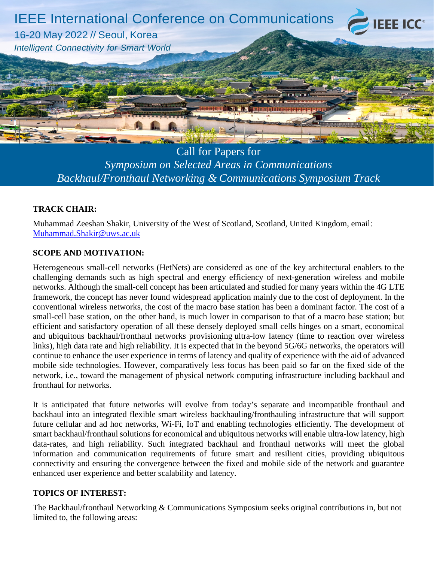

Call for Papers for *Symposium on Selected Areas in Communications Backhaul/Fronthaul Networking & Communications Symposium Track* 

## **TRACK CHAIR:**

Muhammad Zeeshan Shakir, University of the West of Scotland, Scotland, United Kingdom, email: [Muhammad.Shakir@uws.ac.uk](mailto:Muhammad.Shakir@uws.ac.uk)

## **SCOPE AND MOTIVATION:**

networks. Although the small-cell concept has been articulated and studied for many years within the 4G LTE<br>framework, the concept has never found widespread application mainly due to the cost of deployment. In the Heterogeneous small-cell networks (HetNets) are considered as one of the key architectural enablers to the challenging demands such as high spectral and energy efficiency of next-generation wireless and mobile networks. Although the small-cell concept has been articulated and studied for many years within the 4G LTE conventional wireless networks, the cost of the macro base station has been a dominant factor. The cost of a small-cell base station, on the other hand, is much lower in comparison to that of a macro base station; but efficient and satisfactory operation of all these densely deployed small cells hinges on a smart, economical and ubiquitous backhaul/fronthaul networks provisioning ultra-low latency (time to reaction over wireless links), high data rate and high reliability. It is expected that in the beyond 5G/6G networks, the operators will continue to enhance the user experience in terms of latency and quality of experience with the aid of advanced mobile side technologies. However, comparatively less focus has been paid so far on the fixed side of the network, i.e., toward the management of physical network computing infrastructure including backhaul and fronthaul for networks.

It is anticipated that future networks will evolve from today's separate and incompatible fronthaul and backhaul into an integrated flexible smart wireless backhauling/fronthauling infrastructure that will support future cellular and ad hoc networks, Wi-Fi, IoT and enabling technologies efficiently. The development of smart backhaul/fronthaul solutions for economical and ubiquitous networks will enable ultra-low latency, high data-rates, and high reliability. Such integrated backhaul and fronthaul networks will meet the global information and communication requirements of future smart and resilient cities, providing ubiquitous connectivity and ensuring the convergence between the fixed and mobile side of the network and guarantee enhanced user experience and better scalability and latency.

## **TOPICS OF INTEREST:**

The Backhaul/fronthaul Networking & Communications Symposium seeks original contributions in, but not limited to, the following areas: